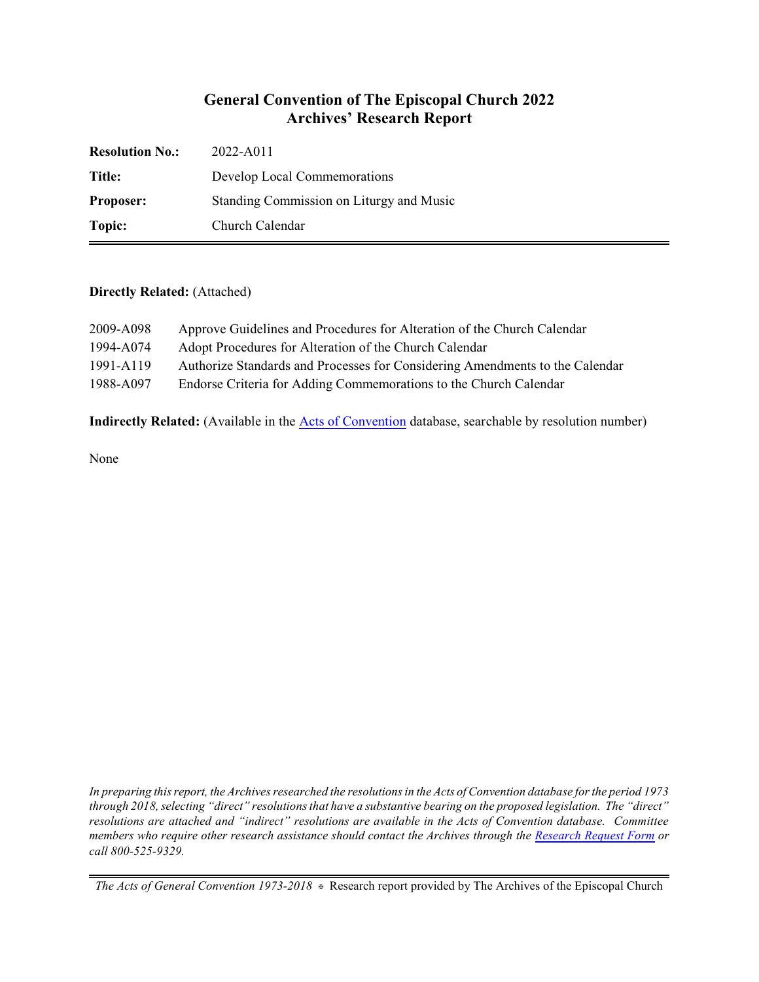# **General Convention of The Episcopal Church 2022 Archives' Research Report**

| <b>Resolution No.:</b> | 2022-A011                                |
|------------------------|------------------------------------------|
| Title:                 | Develop Local Commemorations             |
| <b>Proposer:</b>       | Standing Commission on Liturgy and Music |
| Topic:                 | Church Calendar                          |

# **Directly Related:** (Attached)

| 2009-A098 | Approve Guidelines and Procedures for Alteration of the Church Calendar      |
|-----------|------------------------------------------------------------------------------|
| 1994-A074 | Adopt Procedures for Alteration of the Church Calendar                       |
| 1991-A119 | Authorize Standards and Processes for Considering Amendments to the Calendar |
| 1988-A097 | Endorse Criteria for Adding Commemorations to the Church Calendar            |

**Indirectly Related:** (Available in the [Acts of Convention](https://www.episcopalarchives.org/e-archives/acts/) database, searchable by resolution number)

None

*In preparing this report, the Archives researched the resolutions in the Acts of Convention database for the period 1973 through 2018, selecting "direct" resolutions that have a substantive bearing on the proposed legislation. The "direct" resolutions are attached and "indirect" resolutions are available in the Acts of Convention database. Committee members who require other research assistance should contact the Archives through the Research [Request Form](https://www.episcopalarchives.org/contact/research-request-form) or call 800-525-9329.*

*The Acts of General Convention 1973-2018*  $*$  Research report provided by The Archives of the Episcopal Church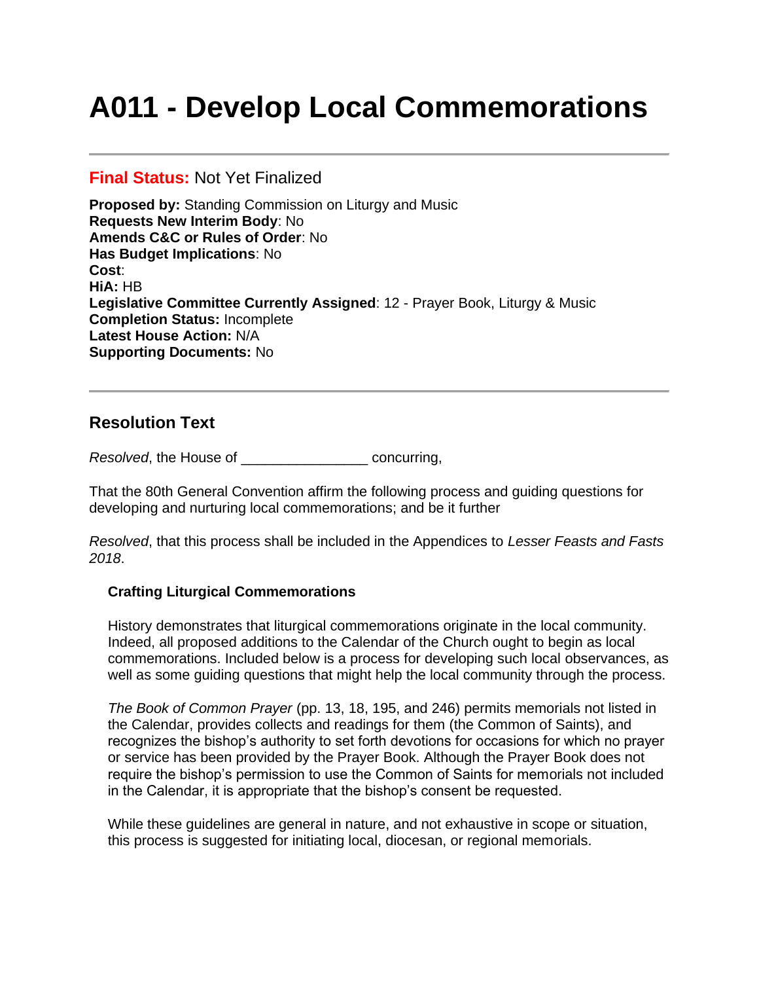# **A011 - Develop Local Commemorations**

# **Final Status:** Not Yet Finalized

**Proposed by:** Standing Commission on Liturgy and Music **Requests New Interim Body**: No **Amends C&C or Rules of Order**: No **Has Budget Implications**: No **Cost**: **HiA:** HB **Legislative Committee Currently Assigned**: 12 - Prayer Book, Liturgy & Music **Completion Status:** Incomplete **Latest House Action:** N/A **Supporting Documents:** No

# **Resolution Text**

*Resolved*, the House of \_\_\_\_\_\_\_\_\_\_\_\_\_\_\_\_ concurring,

That the 80th General Convention affirm the following process and guiding questions for developing and nurturing local commemorations; and be it further

*Resolved*, that this process shall be included in the Appendices to *Lesser Feasts and Fasts 2018*.

# **Crafting Liturgical Commemorations**

History demonstrates that liturgical commemorations originate in the local community. Indeed, all proposed additions to the Calendar of the Church ought to begin as local commemorations. Included below is a process for developing such local observances, as well as some guiding questions that might help the local community through the process.

*The Book of Common Prayer* (pp. 13, 18, 195, and 246) permits memorials not listed in the Calendar, provides collects and readings for them (the Common of Saints), and recognizes the bishop's authority to set forth devotions for occasions for which no prayer or service has been provided by the Prayer Book. Although the Prayer Book does not require the bishop's permission to use the Common of Saints for memorials not included in the Calendar, it is appropriate that the bishop's consent be requested.

While these guidelines are general in nature, and not exhaustive in scope or situation, this process is suggested for initiating local, diocesan, or regional memorials.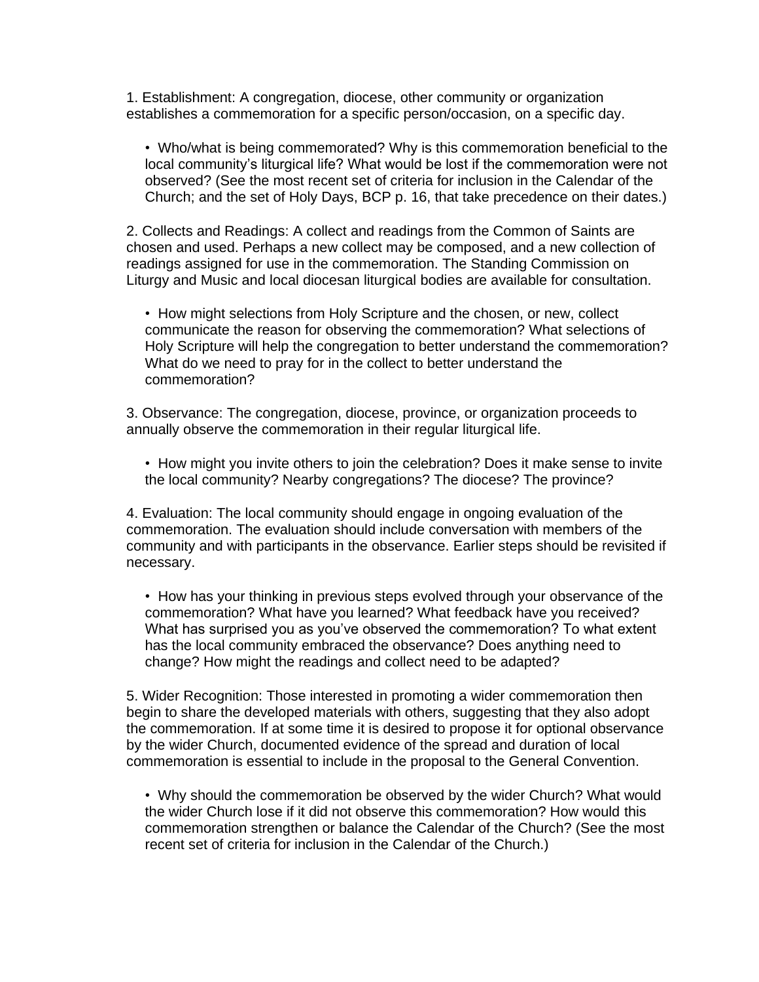1. Establishment: A congregation, diocese, other community or organization establishes a commemoration for a specific person/occasion, on a specific day.

• Who/what is being commemorated? Why is this commemoration beneficial to the local community's liturgical life? What would be lost if the commemoration were not observed? (See the most recent set of criteria for inclusion in the Calendar of the Church; and the set of Holy Days, BCP p. 16, that take precedence on their dates.)

2. Collects and Readings: A collect and readings from the Common of Saints are chosen and used. Perhaps a new collect may be composed, and a new collection of readings assigned for use in the commemoration. The Standing Commission on Liturgy and Music and local diocesan liturgical bodies are available for consultation.

• How might selections from Holy Scripture and the chosen, or new, collect communicate the reason for observing the commemoration? What selections of Holy Scripture will help the congregation to better understand the commemoration? What do we need to pray for in the collect to better understand the commemoration?

3. Observance: The congregation, diocese, province, or organization proceeds to annually observe the commemoration in their regular liturgical life.

• How might you invite others to join the celebration? Does it make sense to invite the local community? Nearby congregations? The diocese? The province?

4. Evaluation: The local community should engage in ongoing evaluation of the commemoration. The evaluation should include conversation with members of the community and with participants in the observance. Earlier steps should be revisited if necessary.

• How has your thinking in previous steps evolved through your observance of the commemoration? What have you learned? What feedback have you received? What has surprised you as you've observed the commemoration? To what extent has the local community embraced the observance? Does anything need to change? How might the readings and collect need to be adapted?

5. Wider Recognition: Those interested in promoting a wider commemoration then begin to share the developed materials with others, suggesting that they also adopt the commemoration. If at some time it is desired to propose it for optional observance by the wider Church, documented evidence of the spread and duration of local commemoration is essential to include in the proposal to the General Convention.

• Why should the commemoration be observed by the wider Church? What would the wider Church lose if it did not observe this commemoration? How would this commemoration strengthen or balance the Calendar of the Church? (See the most recent set of criteria for inclusion in the Calendar of the Church.)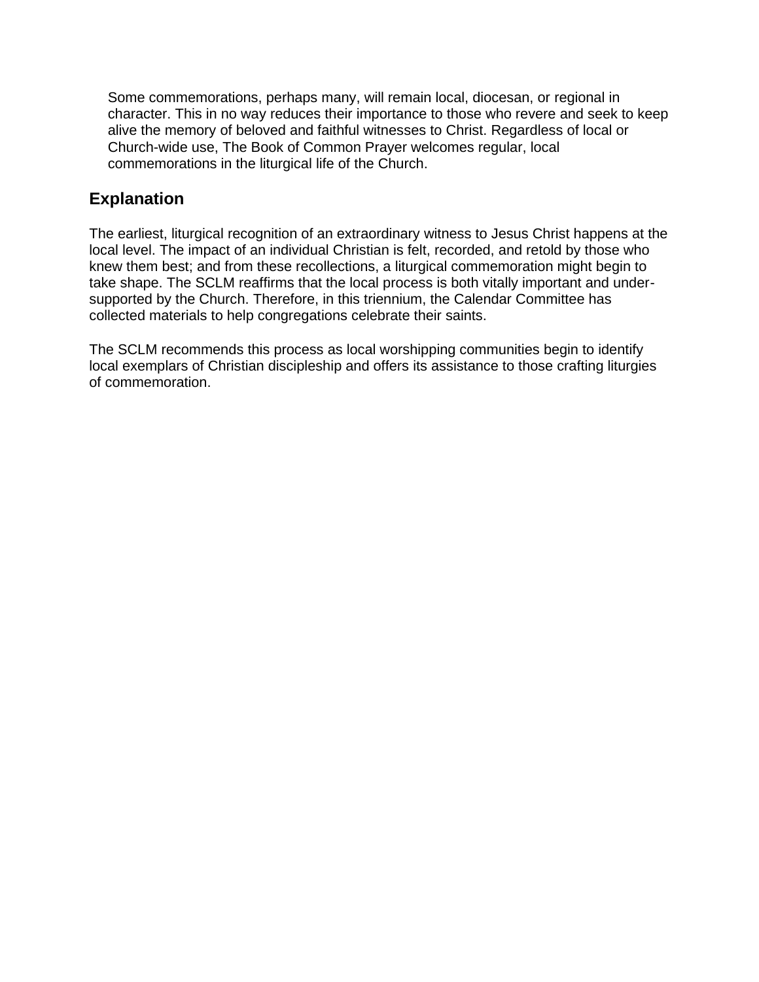Some commemorations, perhaps many, will remain local, diocesan, or regional in character. This in no way reduces their importance to those who revere and seek to keep alive the memory of beloved and faithful witnesses to Christ. Regardless of local or Church-wide use, The Book of Common Prayer welcomes regular, local commemorations in the liturgical life of the Church.

# **Explanation**

The earliest, liturgical recognition of an extraordinary witness to Jesus Christ happens at the local level. The impact of an individual Christian is felt, recorded, and retold by those who knew them best; and from these recollections, a liturgical commemoration might begin to take shape. The SCLM reaffirms that the local process is both vitally important and undersupported by the Church. Therefore, in this triennium, the Calendar Committee has collected materials to help congregations celebrate their saints.

The SCLM recommends this process as local worshipping communities begin to identify local exemplars of Christian discipleship and offers its assistance to those crafting liturgies of commemoration.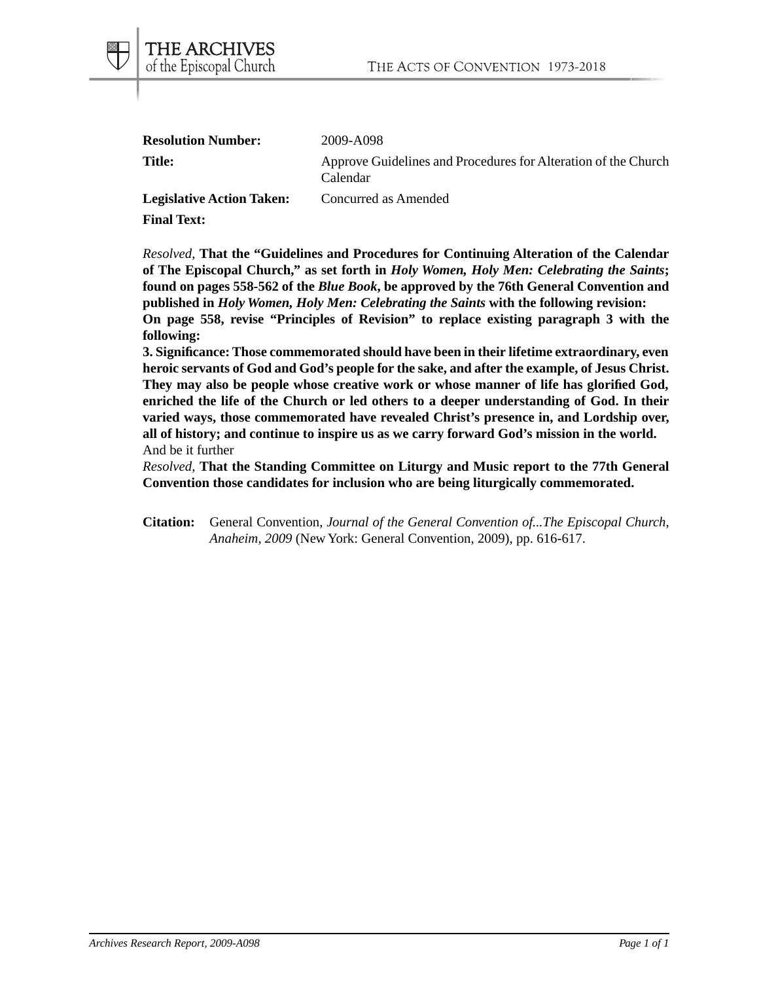| <b>Resolution Number:</b>        | 2009-A098                                                                  |
|----------------------------------|----------------------------------------------------------------------------|
| <b>Title:</b>                    | Approve Guidelines and Procedures for Alteration of the Church<br>Calendar |
| <b>Legislative Action Taken:</b> | Concurred as Amended                                                       |

**Final Text:**

THE ARCHIVES of the Episcopal Church

*Resolved*, **That the "Guidelines and Procedures for Continuing Alteration of the Calendar of The Episcopal Church," as set forth in** *Holy Women, Holy Men: Celebrating the Saints***; found on pages 558-562 of the** *Blue Book***, be approved by the 76th General Convention and published in** *Holy Women, Holy Men: Celebrating the Saints* **with the following revision: On page 558, revise "Principles of Revision" to replace existing paragraph 3 with the following:**

**3. Significance: Those commemorated should have been in their lifetime extraordinary, even heroic servants of God and God's people for the sake, and after the example, of Jesus Christ. They may also be people whose creative work or whose manner of life has glorified God, enriched the life of the Church or led others to a deeper understanding of God. In their varied ways, those commemorated have revealed Christ's presence in, and Lordship over, all of history; and continue to inspire us as we carry forward God's mission in the world.** And be it further

*Resolved*, **That the Standing Committee on Liturgy and Music report to the 77th General Convention those candidates for inclusion who are being liturgically commemorated.**

**Citation:** General Convention, *Journal of the General Convention of...The Episcopal Church, Anaheim, 2009* (New York: General Convention, 2009), pp. 616-617.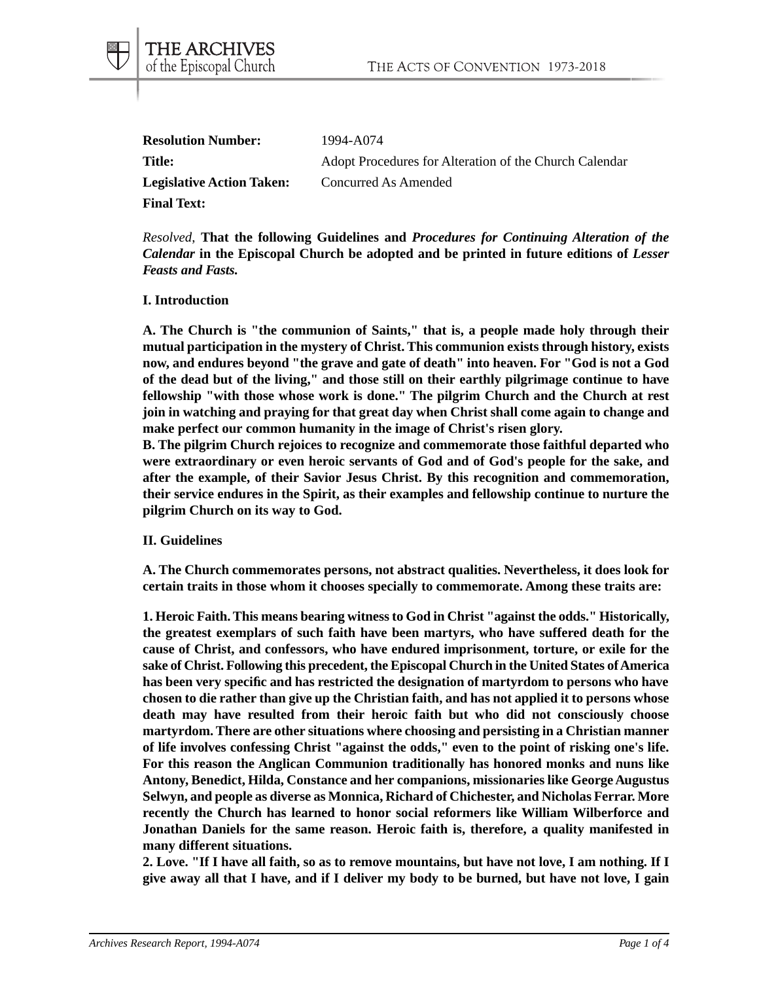| <b>Resolution Number:</b>        | 1994-A074                                              |
|----------------------------------|--------------------------------------------------------|
| <b>Title:</b>                    | Adopt Procedures for Alteration of the Church Calendar |
| <b>Legislative Action Taken:</b> | Concurred As Amended                                   |
| <b>Final Text:</b>               |                                                        |

*Resolved*, **That the following Guidelines and** *Procedures for Continuing Alteration of the Calendar* **in the Episcopal Church be adopted and be printed in future editions of** *Lesser Feasts and Fasts.*

#### **I. Introduction**

THE ARCHIVES of the Episcopal Church

**A. The Church is "the communion of Saints," that is, a people made holy through their mutual participation in the mystery of Christ. This communion exists through history, exists now, and endures beyond "the grave and gate of death" into heaven. For "God is not a God of the dead but of the living," and those still on their earthly pilgrimage continue to have fellowship "with those whose work is done." The pilgrim Church and the Church at rest join in watching and praying for that great day when Christ shall come again to change and make perfect our common humanity in the image of Christ's risen glory.**

**B. The pilgrim Church rejoices to recognize and commemorate those faithful departed who were extraordinary or even heroic servants of God and of God's people for the sake, and after the example, of their Savior Jesus Christ. By this recognition and commemoration, their service endures in the Spirit, as their examples and fellowship continue to nurture the pilgrim Church on its way to God.**

#### **II. Guidelines**

**A. The Church commemorates persons, not abstract qualities. Nevertheless, it does look for certain traits in those whom it chooses specially to commemorate. Among these traits are:**

**1. Heroic Faith. This means bearing witness to God in Christ "against the odds." Historically, the greatest exemplars of such faith have been martyrs, who have suffered death for the cause of Christ, and confessors, who have endured imprisonment, torture, or exile for the sake of Christ. Following this precedent, the Episcopal Church in the United States of America has been very specific and has restricted the designation of martyrdom to persons who have chosen to die rather than give up the Christian faith, and has not applied it to persons whose death may have resulted from their heroic faith but who did not consciously choose martyrdom. There are other situations where choosing and persisting in a Christian manner of life involves confessing Christ "against the odds," even to the point of risking one's life. For this reason the Anglican Communion traditionally has honored monks and nuns like Antony, Benedict, Hilda, Constance and her companions, missionaries like George Augustus Selwyn, and people as diverse as Monnica, Richard of Chichester, and Nicholas Ferrar. More recently the Church has learned to honor social reformers like William Wilberforce and Jonathan Daniels for the same reason. Heroic faith is, therefore, a quality manifested in many different situations.**

**2. Love. "If I have all faith, so as to remove mountains, but have not love, I am nothing. If I give away all that I have, and if I deliver my body to be burned, but have not love, I gain**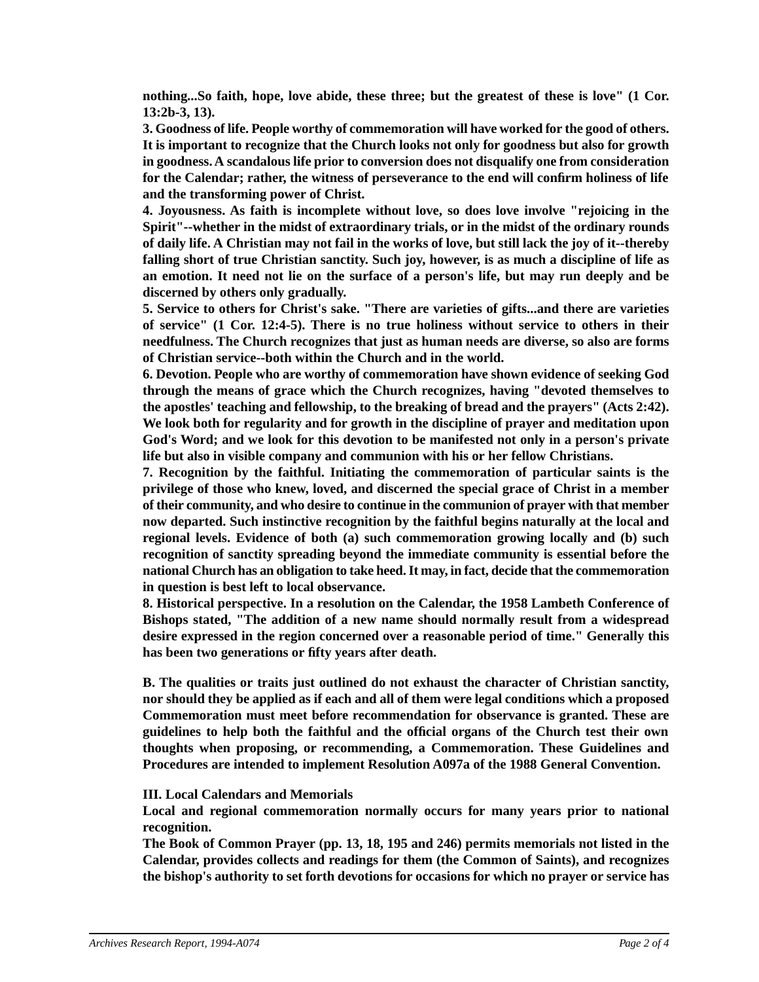**nothing...So faith, hope, love abide, these three; but the greatest of these is love" (1 Cor. 13:2b-3, 13).**

**3. Goodness of life. People worthy of commemoration will have worked for the good of others. It is important to recognize that the Church looks not only for goodness but also for growth in goodness. A scandalous life prior to conversion does not disqualify one from consideration for the Calendar; rather, the witness of perseverance to the end will confirm holiness of life and the transforming power of Christ.**

**4. Joyousness. As faith is incomplete without love, so does love involve "rejoicing in the Spirit"--whether in the midst of extraordinary trials, or in the midst of the ordinary rounds of daily life. A Christian may not fail in the works of love, but still lack the joy of it--thereby falling short of true Christian sanctity. Such joy, however, is as much a discipline of life as an emotion. It need not lie on the surface of a person's life, but may run deeply and be discerned by others only gradually.**

**5. Service to others for Christ's sake. "There are varieties of gifts...and there are varieties of service" (1 Cor. 12:4-5). There is no true holiness without service to others in their needfulness. The Church recognizes that just as human needs are diverse, so also are forms of Christian service--both within the Church and in the world.**

**6. Devotion. People who are worthy of commemoration have shown evidence of seeking God through the means of grace which the Church recognizes, having "devoted themselves to the apostles' teaching and fellowship, to the breaking of bread and the prayers" (Acts 2:42). We look both for regularity and for growth in the discipline of prayer and meditation upon God's Word; and we look for this devotion to be manifested not only in a person's private life but also in visible company and communion with his or her fellow Christians.**

**7. Recognition by the faithful. Initiating the commemoration of particular saints is the privilege of those who knew, loved, and discerned the special grace of Christ in a member of their community, and who desire to continue in the communion of prayer with that member now departed. Such instinctive recognition by the faithful begins naturally at the local and regional levels. Evidence of both (a) such commemoration growing locally and (b) such recognition of sanctity spreading beyond the immediate community is essential before the national Church has an obligation to take heed. It may, in fact, decide that the commemoration in question is best left to local observance.**

**8. Historical perspective. In a resolution on the Calendar, the 1958 Lambeth Conference of Bishops stated, "The addition of a new name should normally result from a widespread desire expressed in the region concerned over a reasonable period of time." Generally this has been two generations or fifty years after death.**

**B. The qualities or traits just outlined do not exhaust the character of Christian sanctity, nor should they be applied as if each and all of them were legal conditions which a proposed Commemoration must meet before recommendation for observance is granted. These are guidelines to help both the faithful and the official organs of the Church test their own thoughts when proposing, or recommending, a Commemoration. These Guidelines and Procedures are intended to implement Resolution A097a of the 1988 General Convention.**

# **III. Local Calendars and Memorials**

**Local and regional commemoration normally occurs for many years prior to national recognition.**

**The Book of Common Prayer (pp. 13, 18, 195 and 246) permits memorials not listed in the Calendar, provides collects and readings for them (the Common of Saints), and recognizes the bishop's authority to set forth devotions for occasions for which no prayer or service has**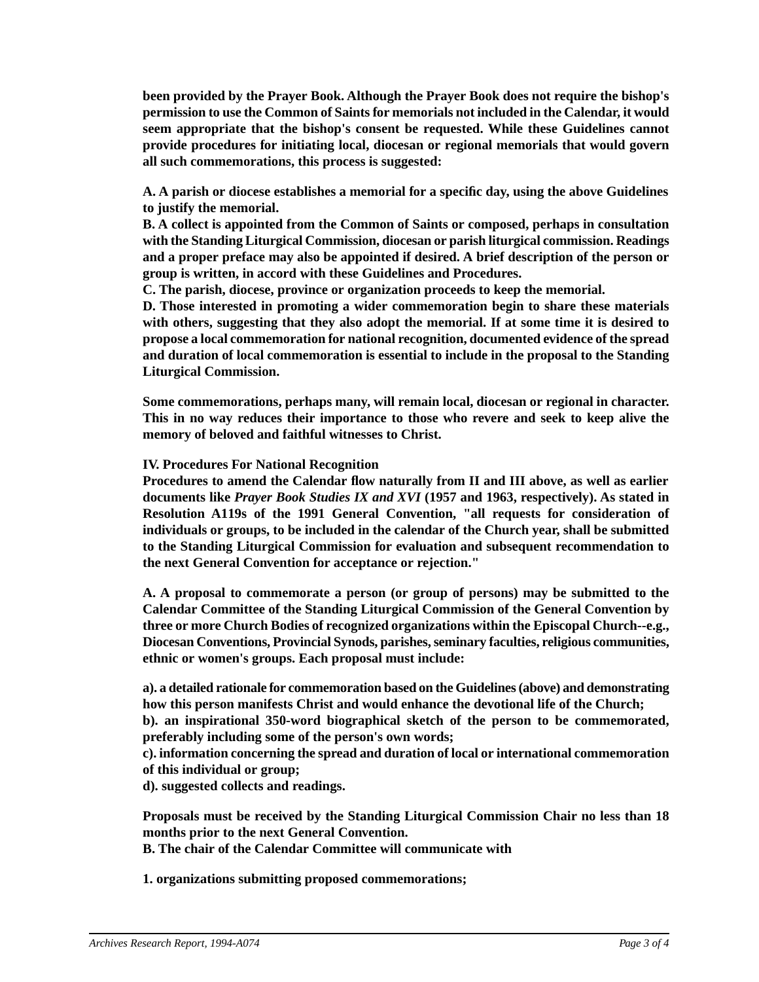**been provided by the Prayer Book. Although the Prayer Book does not require the bishop's permission to use the Common of Saints for memorials not included in the Calendar, it would seem appropriate that the bishop's consent be requested. While these Guidelines cannot provide procedures for initiating local, diocesan or regional memorials that would govern all such commemorations, this process is suggested:**

**A. A parish or diocese establishes a memorial for a specific day, using the above Guidelines to justify the memorial.**

**B. A collect is appointed from the Common of Saints or composed, perhaps in consultation with the Standing Liturgical Commission, diocesan or parish liturgical commission. Readings and a proper preface may also be appointed if desired. A brief description of the person or group is written, in accord with these Guidelines and Procedures.**

**C. The parish, diocese, province or organization proceeds to keep the memorial.**

**D. Those interested in promoting a wider commemoration begin to share these materials with others, suggesting that they also adopt the memorial. If at some time it is desired to propose a local commemoration for national recognition, documented evidence of the spread and duration of local commemoration is essential to include in the proposal to the Standing Liturgical Commission.**

**Some commemorations, perhaps many, will remain local, diocesan or regional in character. This in no way reduces their importance to those who revere and seek to keep alive the memory of beloved and faithful witnesses to Christ.**

# **IV. Procedures For National Recognition**

**Procedures to amend the Calendar flow naturally from II and III above, as well as earlier documents like** *Prayer Book Studies IX and XVI* **(1957 and 1963, respectively). As stated in Resolution A119s of the 1991 General Convention, "all requests for consideration of individuals or groups, to be included in the calendar of the Church year, shall be submitted to the Standing Liturgical Commission for evaluation and subsequent recommendation to the next General Convention for acceptance or rejection."**

**A. A proposal to commemorate a person (or group of persons) may be submitted to the Calendar Committee of the Standing Liturgical Commission of the General Convention by three or more Church Bodies of recognized organizations within the Episcopal Church--e.g., Diocesan Conventions, Provincial Synods, parishes, seminary faculties, religious communities, ethnic or women's groups. Each proposal must include:**

**a). a detailed rationale for commemoration based on the Guidelines (above) and demonstrating how this person manifests Christ and would enhance the devotional life of the Church;**

**b). an inspirational 350-word biographical sketch of the person to be commemorated, preferably including some of the person's own words;**

**c). information concerning the spread and duration of local or international commemoration of this individual or group;**

**d). suggested collects and readings.**

**Proposals must be received by the Standing Liturgical Commission Chair no less than 18 months prior to the next General Convention.**

**B. The chair of the Calendar Committee will communicate with**

**1. organizations submitting proposed commemorations;**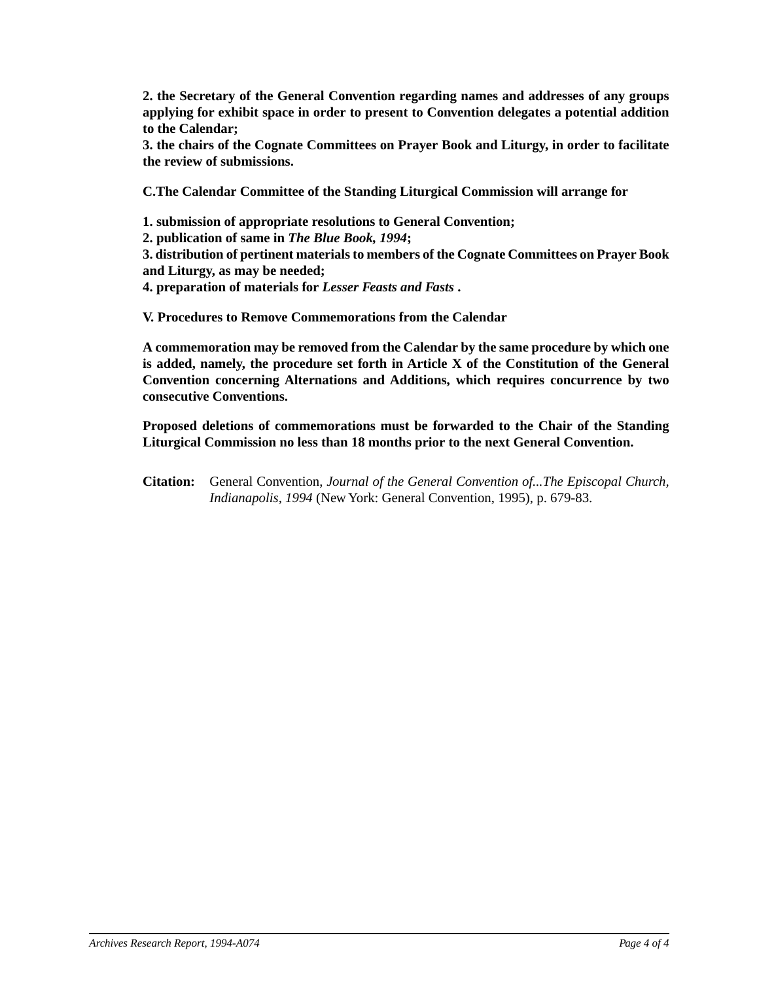**2. the Secretary of the General Convention regarding names and addresses of any groups applying for exhibit space in order to present to Convention delegates a potential addition to the Calendar;**

**3. the chairs of the Cognate Committees on Prayer Book and Liturgy, in order to facilitate the review of submissions.**

**C.The Calendar Committee of the Standing Liturgical Commission will arrange for**

**1. submission of appropriate resolutions to General Convention;**

**2. publication of same in** *The Blue Book, 1994***;**

**3. distribution of pertinent materials to members of the Cognate Committees on Prayer Book and Liturgy, as may be needed;**

**4. preparation of materials for** *Lesser Feasts and Fasts* **.**

**V. Procedures to Remove Commemorations from the Calendar**

**A commemoration may be removed from the Calendar by the same procedure by which one is added, namely, the procedure set forth in Article X of the Constitution of the General Convention concerning Alternations and Additions, which requires concurrence by two consecutive Conventions.**

**Proposed deletions of commemorations must be forwarded to the Chair of the Standing Liturgical Commission no less than 18 months prior to the next General Convention.**

**Citation:** General Convention, *Journal of the General Convention of...The Episcopal Church, Indianapolis, 1994* (New York: General Convention, 1995), p. 679-83.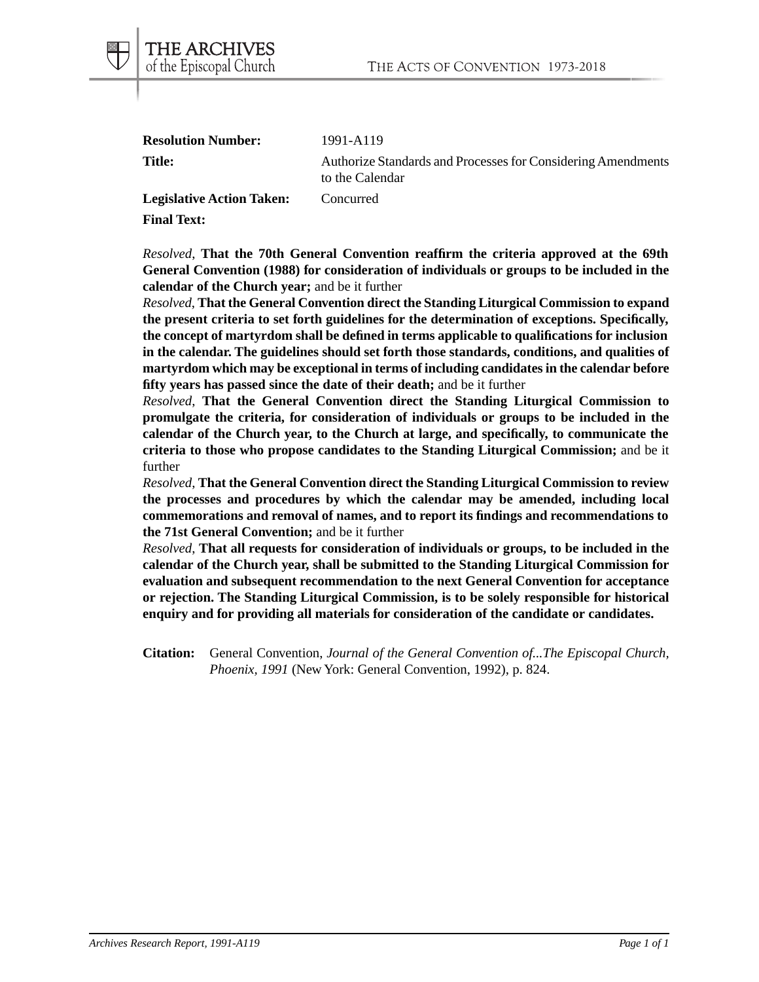THE ARCHIVES of the Episcopal Church

**Resolution Number:** 1991-A119 **Title:** Authorize Standards and Processes for Considering Amendments to the Calendar

Legislative Action Taken: Concurred

**Final Text:**

*Resolved*, **That the 70th General Convention reaffirm the criteria approved at the 69th General Convention (1988) for consideration of individuals or groups to be included in the calendar of the Church year;** and be it further

*Resolved*, **That the General Convention direct the Standing Liturgical Commission to expand the present criteria to set forth guidelines for the determination of exceptions. Specifically, the concept of martyrdom shall be defined in terms applicable to qualifications for inclusion in the calendar. The guidelines should set forth those standards, conditions, and qualities of martyrdom which may be exceptional in terms of including candidates in the calendar before fifty years has passed since the date of their death;** and be it further

*Resolved*, **That the General Convention direct the Standing Liturgical Commission to promulgate the criteria, for consideration of individuals or groups to be included in the calendar of the Church year, to the Church at large, and specifically, to communicate the criteria to those who propose candidates to the Standing Liturgical Commission;** and be it further

*Resolved*, **That the General Convention direct the Standing Liturgical Commission to review the processes and procedures by which the calendar may be amended, including local commemorations and removal of names, and to report its findings and recommendations to the 71st General Convention;** and be it further

*Resolved*, **That all requests for consideration of individuals or groups, to be included in the calendar of the Church year, shall be submitted to the Standing Liturgical Commission for evaluation and subsequent recommendation to the next General Convention for acceptance or rejection. The Standing Liturgical Commission, is to be solely responsible for historical enquiry and for providing all materials for consideration of the candidate or candidates.**

**Citation:** General Convention, *Journal of the General Convention of...The Episcopal Church, Phoenix, 1991* (New York: General Convention, 1992), p. 824.